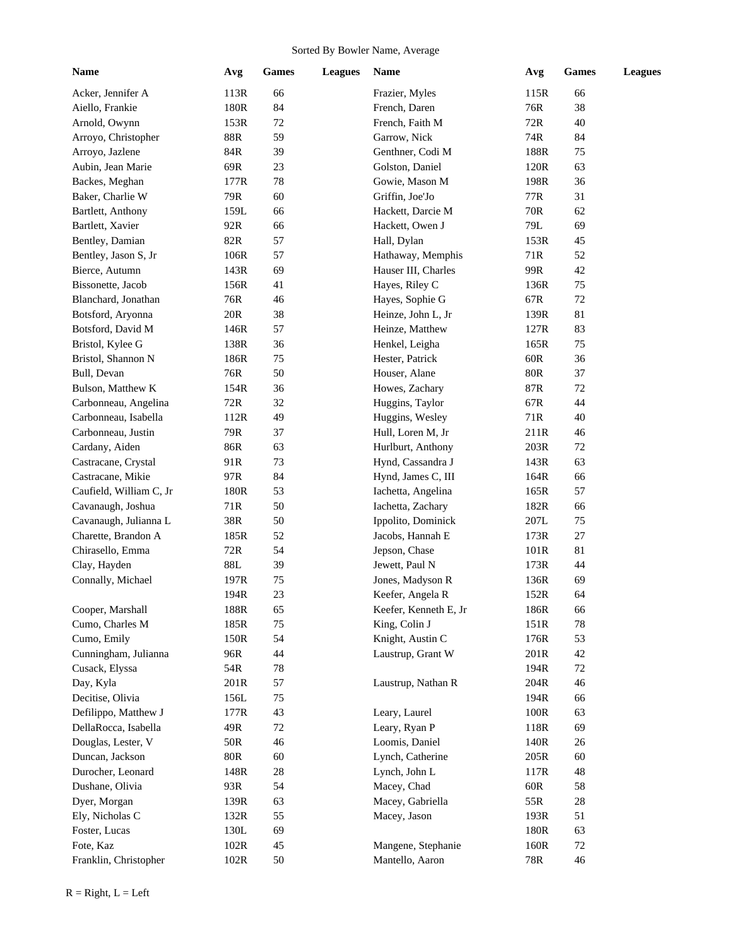## Sorted By Bowler Name, Average

| Name                    | Avg             | Games  | <b>Leagues</b> | Name                  | Avg            | <b>Games</b> | <b>Leagues</b> |
|-------------------------|-----------------|--------|----------------|-----------------------|----------------|--------------|----------------|
| Acker, Jennifer A       | 113R            | 66     |                | Frazier, Myles        | 115R           | 66           |                |
| Aiello, Frankie         | 180R            | 84     |                | French, Daren         | 76R            | 38           |                |
| Arnold, Owynn           | 153R            | 72     |                | French, Faith M       | 72R            | 40           |                |
| Arroyo, Christopher     | 88R             | 59     |                | Garrow, Nick          | 74R            | 84           |                |
| Arroyo, Jazlene         | $84\mathrm{R}$  | 39     |                | Genthner, Codi M      | 188R           | 75           |                |
| Aubin, Jean Marie       | 69R             | 23     |                | Golston, Daniel       | 120R           | 63           |                |
| Backes, Meghan          | 177R            | $78\,$ |                | Gowie, Mason M        | 198R           | 36           |                |
| Baker, Charlie W        | 79R             | 60     |                | Griffin, Joe'Jo       | 77R            | 31           |                |
| Bartlett, Anthony       | 159L            | 66     |                | Hackett, Darcie M     | 70R            | 62           |                |
| Bartlett, Xavier        | 92R             | 66     |                | Hackett, Owen J       | $79\mathrm{L}$ | 69           |                |
| Bentley, Damian         | 82R             | 57     |                | Hall, Dylan           | 153R           | 45           |                |
| Bentley, Jason S, Jr    | 106R            | 57     |                | Hathaway, Memphis     | 71R            | 52           |                |
| Bierce, Autumn          | 143R            | 69     |                | Hauser III, Charles   | 99R            | 42           |                |
| Bissonette, Jacob       | 156R            | 41     |                | Hayes, Riley C        | 136R           | 75           |                |
| Blanchard, Jonathan     | 76R             | 46     |                | Hayes, Sophie G       | 67R            | 72           |                |
| Botsford, Aryonna       | 20R             | 38     |                | Heinze, John L, Jr    | 139R           | 81           |                |
| Botsford, David M       | 146R            | 57     |                | Heinze, Matthew       | 127R           | 83           |                |
| Bristol, Kylee G        | 138R            | 36     |                | Henkel, Leigha        | 165R           | 75           |                |
| Bristol, Shannon N      | 186R            | 75     |                | Hester, Patrick       | $60R$          | 36           |                |
| Bull, Devan             | 76R             | 50     |                | Houser, Alane         | <b>80R</b>     | 37           |                |
| Bulson, Matthew K       | 154R            | 36     |                | Howes, Zachary        | 87R            | $72\,$       |                |
| Carbonneau, Angelina    | 72R             | 32     |                | Huggins, Taylor       | 67R            | 44           |                |
| Carbonneau, Isabella    | 112R            | 49     |                | Huggins, Wesley       | 71R            | 40           |                |
| Carbonneau, Justin      | 79R             | 37     |                | Hull, Loren M, Jr     | 211R           | 46           |                |
| Cardany, Aiden          | 86R             | 63     |                | Hurlburt, Anthony     | 203R           | 72           |                |
| Castracane, Crystal     | 91R             | 73     |                | Hynd, Cassandra J     | 143R           | 63           |                |
| Castracane, Mikie       | 97 <sub>R</sub> | 84     |                | Hynd, James C, III    | 164R           | 66           |                |
| Caufield, William C, Jr | 180R            | 53     |                | Iachetta, Angelina    | 165R           | 57           |                |
| Cavanaugh, Joshua       | 71R             | 50     |                | Iachetta, Zachary     | 182R           | 66           |                |
| Cavanaugh, Julianna L   | 38R             | 50     |                | Ippolito, Dominick    | 207L           | 75           |                |
| Charette, Brandon A     | 185R            | 52     |                | Jacobs, Hannah E      | 173R           | 27           |                |
| Chirasello, Emma        | 72R             | 54     |                | Jepson, Chase         | 101R           | 81           |                |
| Clay, Hayden            | 88L             | 39     |                | Jewett, Paul N        | 173R           | 44           |                |
| Connally, Michael       | 197R            | 75     |                | Jones, Madyson R      | 136R           | 69           |                |
|                         | 194R            | 23     |                | Keefer, Angela R      | 152R           | 64           |                |
| Cooper, Marshall        | 188R            | 65     |                | Keefer, Kenneth E, Jr | 186R           | 66           |                |
| Cumo, Charles M         | 185R            | 75     |                | King, Colin J         | 151R           | 78           |                |
| Cumo, Emily             | 150R            | 54     |                | Knight, Austin C      | 176R           | 53           |                |
| Cunningham, Julianna    | 96R             | 44     |                | Laustrup, Grant W     | 201R           | 42           |                |
| Cusack, Elyssa          | 54R             | 78     |                |                       | 194R           | 72           |                |
| Day, Kyla               | 201R            | 57     |                | Laustrup, Nathan R    | 204R           | 46           |                |
| Decitise, Olivia        | 156L            | 75     |                |                       | 194R           | 66           |                |
| Defilippo, Matthew J    | 177R            | 43     |                | Leary, Laurel         | 100R           | 63           |                |
| DellaRocca, Isabella    | 49R             | 72     |                | Leary, Ryan P         | 118R           | 69           |                |
| Douglas, Lester, V      | 50R             | 46     |                | Loomis, Daniel        | 140R           | 26           |                |
| Duncan, Jackson         | $80\mathrm{R}$  | 60     |                | Lynch, Catherine      | 205R           | 60           |                |
| Durocher, Leonard       | 148R            | $28\,$ |                | Lynch, John L         | 117R           | 48           |                |
| Dushane, Olivia         | 93R             | 54     |                | Macey, Chad           | $60R$          | 58           |                |
| Dyer, Morgan            | 139R            | 63     |                | Macey, Gabriella      | 55R            | $28\,$       |                |
| Ely, Nicholas C         | 132R            | 55     |                | Macey, Jason          | 193R           | 51           |                |
| Foster, Lucas           | 130L            | 69     |                |                       | 180R           | 63           |                |
| Fote, Kaz               | 102R            | 45     |                | Mangene, Stephanie    | 160R           | 72           |                |
| Franklin, Christopher   | 102R            | $50\,$ |                | Mantello, Aaron       | 78R            | $46\,$       |                |